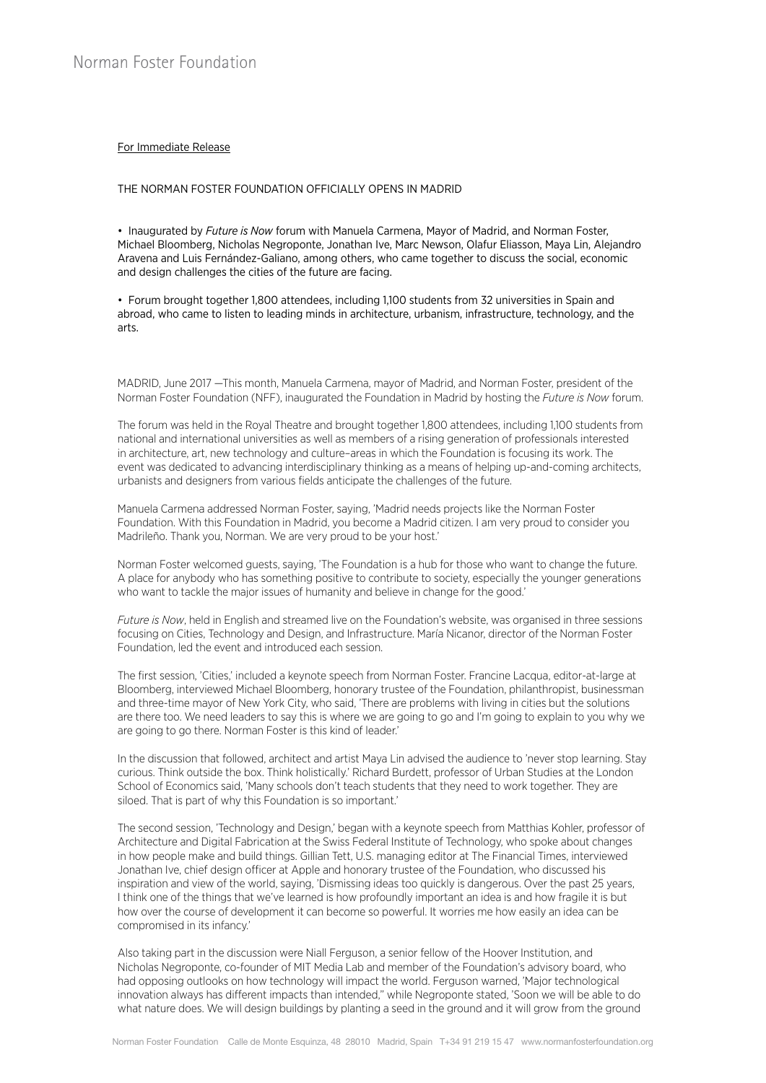## For Immediate Release

## THE NORMAN FOSTER FOUNDATION OFFICIALLY OPENS IN MADRID

• Inaugurated by *Future is Now* forum with Manuela Carmena, Mayor of Madrid, and Norman Foster, Michael Bloomberg, Nicholas Negroponte, Jonathan Ive, Marc Newson, Olafur Eliasson, Maya Lin, Alejandro Aravena and Luis Fernández-Galiano, among others, who came together to discuss the social, economic and design challenges the cities of the future are facing.

• Forum brought together 1,800 attendees, including 1,100 students from 32 universities in Spain and abroad, who came to listen to leading minds in architecture, urbanism, infrastructure, technology, and the arts.

MADRID, June 2017 —This month, Manuela Carmena, mayor of Madrid, and Norman Foster, president of the Norman Foster Foundation (NFF), inaugurated the Foundation in Madrid by hosting the *Future is Now* forum.

The forum was held in the Royal Theatre and brought together 1,800 attendees, including 1,100 students from national and international universities as well as members of a rising generation of professionals interested in architecture, art, new technology and culture–areas in which the Foundation is focusing its work. The event was dedicated to advancing interdisciplinary thinking as a means of helping up-and-coming architects, urbanists and designers from various fields anticipate the challenges of the future.

Manuela Carmena addressed Norman Foster, saying, 'Madrid needs projects like the Norman Foster Foundation. With this Foundation in Madrid, you become a Madrid citizen. I am very proud to consider you Madrileño. Thank you, Norman. We are very proud to be your host.'

Norman Foster welcomed guests, saying, 'The Foundation is a hub for those who want to change the future. A place for anybody who has something positive to contribute to society, especially the younger generations who want to tackle the major issues of humanity and believe in change for the good.'

*Future is Now*, held in English and streamed live on the Foundation's website, was organised in three sessions focusing on Cities, Technology and Design, and Infrastructure. María Nicanor, director of the Norman Foster Foundation, led the event and introduced each session.

The first session, 'Cities,' included a keynote speech from Norman Foster. Francine Lacqua, editor-at-large at Bloomberg, interviewed Michael Bloomberg, honorary trustee of the Foundation, philanthropist, businessman and three-time mayor of New York City, who said, 'There are problems with living in cities but the solutions are there too. We need leaders to say this is where we are going to go and I'm going to explain to you why we are going to go there. Norman Foster is this kind of leader.'

In the discussion that followed, architect and artist Maya Lin advised the audience to 'never stop learning. Stay curious. Think outside the box. Think holistically.' Richard Burdett, professor of Urban Studies at the London School of Economics said, 'Many schools don't teach students that they need to work together. They are siloed. That is part of why this Foundation is so important.'

The second session, 'Technology and Design,' began with a keynote speech from Matthias Kohler, professor of Architecture and Digital Fabrication at the Swiss Federal Institute of Technology, who spoke about changes in how people make and build things. Gillian Tett, U.S. managing editor at The Financial Times, interviewed Jonathan Ive, chief design officer at Apple and honorary trustee of the Foundation, who discussed his inspiration and view of the world, saying, 'Dismissing ideas too quickly is dangerous. Over the past 25 years, I think one of the things that we've learned is how profoundly important an idea is and how fragile it is but how over the course of development it can become so powerful. It worries me how easily an idea can be compromised in its infancy.'

Also taking part in the discussion were Niall Ferguson, a senior fellow of the Hoover Institution, and Nicholas Negroponte, co-founder of MIT Media Lab and member of the Foundation's advisory board, who had opposing outlooks on how technology will impact the world. Ferguson warned, 'Major technological innovation always has different impacts than intended," while Negroponte stated, 'Soon we will be able to do what nature does. We will design buildings by planting a seed in the ground and it will grow from the ground